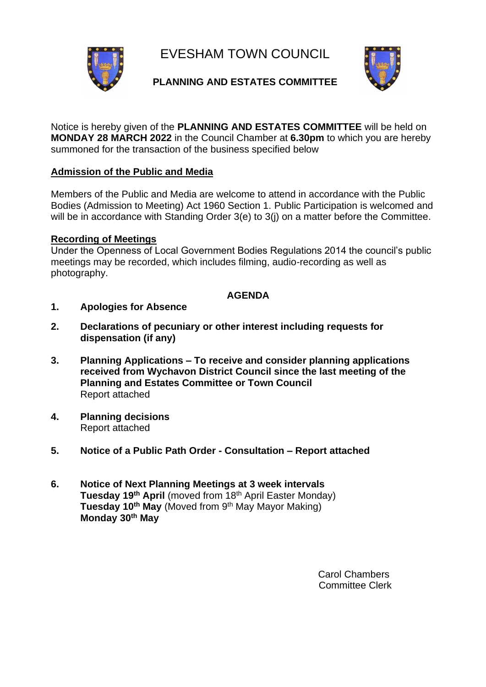EVESHAM TOWN COUNCIL



## **PLANNING AND ESTATES COMMITTEE**



Notice is hereby given of the **PLANNING AND ESTATES COMMITTEE** will be held on **MONDAY 28 MARCH 2022** in the Council Chamber at **6.30pm** to which you are hereby summoned for the transaction of the business specified below

## **Admission of the Public and Media**

Members of the Public and Media are welcome to attend in accordance with the Public Bodies (Admission to Meeting) Act 1960 Section 1. Public Participation is welcomed and will be in accordance with Standing Order 3(e) to 3(i) on a matter before the Committee.

## **Recording of Meetings**

Under the Openness of Local Government Bodies Regulations 2014 the council's public meetings may be recorded, which includes filming, audio-recording as well as photography.

## **AGENDA**

- **1. Apologies for Absence**
- **2. Declarations of pecuniary or other interest including requests for dispensation (if any)**
- **3. Planning Applications – To receive and consider planning applications received from Wychavon District Council since the last meeting of the Planning and Estates Committee or Town Council**  Report attached
- **4. Planning decisions** Report attached
- **5. Notice of a Public Path Order - Consultation – Report attached**
- **6. Notice of Next Planning Meetings at 3 week intervals Tuesday 19th April** (moved from 18th April Easter Monday) **Tuesday 10th May** (Moved from 9th May Mayor Making) **Monday 30th May**

Carol Chambers Committee Clerk